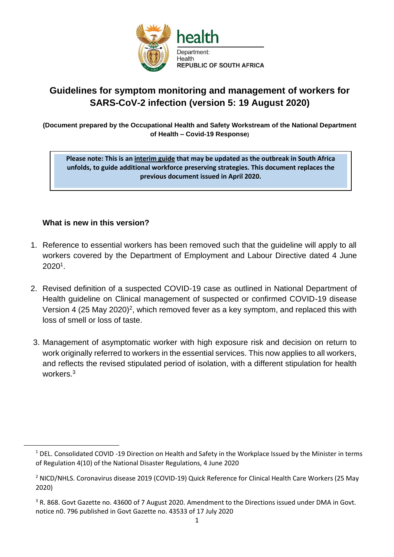

# **Guidelines for symptom monitoring and management of workers for SARS-CoV-2 infection (version 5: 19 August 2020)**

**(Document prepared by the Occupational Health and Safety Workstream of the National Department of Health – Covid-19 Response)**

**Please note: This is an interim guide that may be updated as the outbreak in South Africa unfolds, to guide additional workforce preserving strategies. This document replaces the previous document issued in April 2020.**

#### **What is new in this version?**

- 1. Reference to essential workers has been removed such that the guideline will apply to all workers covered by the Department of Employment and Labour Directive dated 4 June 2020<sup>1</sup> .
- 2. Revised definition of a suspected COVID-19 case as outlined in National Department of Health guideline on Clinical management of suspected or confirmed COVID-19 disease Version 4 (25 May 2020)<sup>2</sup>, which removed fever as a key symptom, and replaced this with loss of smell or loss of taste.
- 3. Management of asymptomatic worker with high exposure risk and decision on return to work originally referred to workers in the essential services. This now applies to all workers, and reflects the revised stipulated period of isolation, with a different stipulation for health workers<sup>3</sup>

 $1$  DEL. Consolidated COVID -19 Direction on Health and Safety in the Workplace Issued by the Minister in terms of Regulation 4(10) of the National Disaster Regulations, 4 June 2020

<sup>&</sup>lt;sup>2</sup> NICD/NHLS. Coronavirus disease 2019 (COVID-19) Quick Reference for Clinical Health Care Workers (25 May 2020)

<sup>&</sup>lt;sup>3</sup> R. 868. Govt Gazette no. 43600 of 7 August 2020. Amendment to the Directions issued under DMA in Govt. notice n0. 796 published in Govt Gazette no. 43533 of 17 July 2020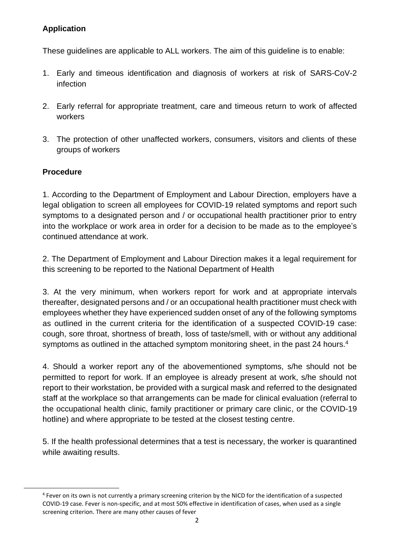### **Application**

These guidelines are applicable to ALL workers. The aim of this guideline is to enable:

- 1. Early and timeous identification and diagnosis of workers at risk of SARS-CoV-2 infection
- 2. Early referral for appropriate treatment, care and timeous return to work of affected workers
- 3. The protection of other unaffected workers, consumers, visitors and clients of these groups of workers

## **Procedure**

1. According to the Department of Employment and Labour Direction, employers have a legal obligation to screen all employees for COVID-19 related symptoms and report such symptoms to a designated person and / or occupational health practitioner prior to entry into the workplace or work area in order for a decision to be made as to the employee's continued attendance at work.

2. The Department of Employment and Labour Direction makes it a legal requirement for this screening to be reported to the National Department of Health

3. At the very minimum, when workers report for work and at appropriate intervals thereafter, designated persons and / or an occupational health practitioner must check with employees whether they have experienced sudden onset of any of the following symptoms as outlined in the current criteria for the identification of a suspected COVID-19 case: cough, sore throat, shortness of breath, loss of taste/smell, with or without any additional symptoms as outlined in the attached symptom monitoring sheet, in the past 24 hours.<sup>4</sup>

4. Should a worker report any of the abovementioned symptoms, s/he should not be permitted to report for work. If an employee is already present at work, s/he should not report to their workstation, be provided with a surgical mask and referred to the designated staff at the workplace so that arrangements can be made for clinical evaluation (referral to the occupational health clinic, family practitioner or primary care clinic, or the COVID-19 hotline) and where appropriate to be tested at the closest testing centre.

5. If the health professional determines that a test is necessary, the worker is quarantined while awaiting results.

<sup>&</sup>lt;sup>4</sup> Fever on its own is not currently a primary screening criterion by the NICD for the identification of a suspected COVID-19 case. Fever is non-specific, and at most 50% effective in identification of cases, when used as a single screening criterion. There are many other causes of fever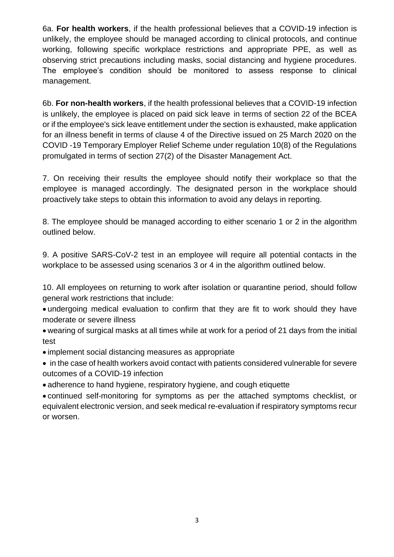6a. **For health workers**, if the health professional believes that a COVID-19 infection is unlikely, the employee should be managed according to clinical protocols, and continue working, following specific workplace restrictions and appropriate PPE, as well as observing strict precautions including masks, social distancing and hygiene procedures. The employee's condition should be monitored to assess response to clinical management.

6b. **For non-health workers**, if the health professional believes that a COVID-19 infection is unlikely, the employee is placed on paid sick leave in terms of section 22 of the BCEA or if the employee's sick leave entitlement under the section is exhausted, make application for an illness benefit in terms of clause 4 of the Directive issued on 25 March 2020 on the COVID -19 Temporary Employer Relief Scheme under regulation 10(8) of the Regulations promulgated in terms of section 27(2) of the Disaster Management Act.

7. On receiving their results the employee should notify their workplace so that the employee is managed accordingly. The designated person in the workplace should proactively take steps to obtain this information to avoid any delays in reporting.

8. The employee should be managed according to either scenario 1 or 2 in the algorithm outlined below.

9. A positive SARS-CoV-2 test in an employee will require all potential contacts in the workplace to be assessed using scenarios 3 or 4 in the algorithm outlined below.

10. All employees on returning to work after isolation or quarantine period, should follow general work restrictions that include:

• undergoing medical evaluation to confirm that they are fit to work should they have moderate or severe illness

• wearing of surgical masks at all times while at work for a period of 21 days from the initial test

• implement social distancing measures as appropriate

• in the case of health workers avoid contact with patients considered vulnerable for severe outcomes of a COVID-19 infection

• adherence to hand hygiene, respiratory hygiene, and cough etiquette

• continued self-monitoring for symptoms as per the attached symptoms checklist, or equivalent electronic version, and seek medical re-evaluation if respiratory symptoms recur or worsen.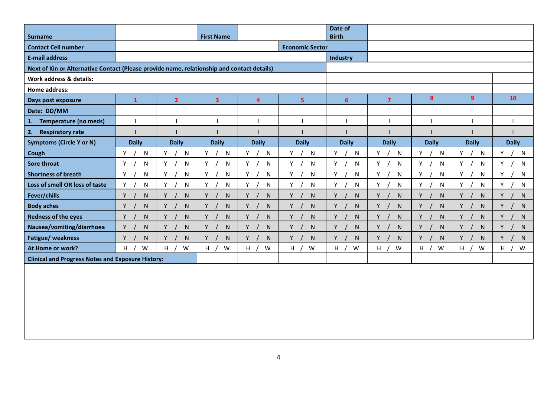|                                                                                            |                        |                |              |              |                   | Date of           |                |                  |                |              |
|--------------------------------------------------------------------------------------------|------------------------|----------------|--------------|--------------|-------------------|-------------------|----------------|------------------|----------------|--------------|
| <b>Surname</b>                                                                             | <b>First Name</b>      |                |              |              |                   | <b>Birth</b>      |                |                  |                |              |
| <b>Contact Cell number</b>                                                                 | <b>Economic Sector</b> |                |              |              |                   |                   |                |                  |                |              |
| <b>E-mail address</b>                                                                      |                        |                |              |              |                   | Industry          |                |                  |                |              |
| Next of Kin or Alternative Contact (Please provide name, relationship and contact details) |                        |                |              |              |                   |                   |                |                  |                |              |
| Work address & details:                                                                    |                        |                |              |              |                   |                   |                |                  |                |              |
| <b>Home address:</b>                                                                       |                        |                |              |              |                   |                   |                |                  |                |              |
| Days post exposure                                                                         | $\mathbf{1}$           | $\overline{2}$ | 3            | 4            | 5 <sub>1</sub>    | 6                 | $\overline{7}$ | 8                | 9 <sup>°</sup> | 10           |
| Date: DD/MM                                                                                |                        |                |              |              |                   |                   |                |                  |                |              |
| <b>Temperature (no meds)</b><br>1.                                                         |                        |                |              |              |                   |                   |                |                  |                |              |
| 2.<br><b>Respiratory rate</b>                                                              |                        |                |              |              |                   |                   |                |                  |                |              |
| <b>Symptoms (Circle Y or N)</b>                                                            | <b>Daily</b>           | <b>Daily</b>   | <b>Daily</b> | <b>Daily</b> | <b>Daily</b>      | <b>Daily</b>      | <b>Daily</b>   | <b>Daily</b>     | <b>Daily</b>   | <b>Daily</b> |
| Cough                                                                                      | Υ<br>N                 | Y<br>N         | Y<br>N       | N<br>Y       | Y<br>N            | Y<br>$\mathsf{N}$ | Y<br>N         | Y<br>N           | Y<br>${\sf N}$ | Υ<br>N       |
| <b>Sore throat</b>                                                                         | Y<br>N                 | N<br>Y         | Y<br>N       | Y<br>N       | N<br>Y.           | Y<br>N            | Y<br>N         | Y.<br>N          | Y.<br>N        | Y<br>N       |
| <b>Shortness of breath</b>                                                                 | N<br>Y                 | N<br>Y         | Y<br>N       | N<br>Y       | N<br>Y            | Y<br>N            | Y<br>N         | Y<br>N           | Y<br>N         | Y<br>N       |
| Loss of smell OR loss of taste                                                             | N<br>Y                 | N<br>Y         | N<br>Y       | N<br>Y       | N<br>Y            | N<br>Y            | Y<br>N         | Y<br>N           | Y.<br>N        | Y<br>N       |
| Fever/chills                                                                               | Y<br>N                 | Y<br>N.        | Y<br>N       | Y<br>N       | N<br>Y            | Y<br>N            | Y<br>N         | Y<br>N           | Y<br>N         | Y<br>N       |
| <b>Body aches</b>                                                                          | Y<br>N                 | Y<br>N         | Y<br>N       | Y<br>N       | N<br>Y            | N<br>Y            | Y<br>N         | Y<br>N           | Y<br>N         | Y<br>N       |
| <b>Redness of the eyes</b>                                                                 | Y<br>N                 | Y<br>N         | Y<br>N       | Y<br>N       | $\mathsf{N}$<br>Y | Y<br>N            | Y<br>N         | Y /<br>${\sf N}$ | Y<br>N         | Y<br>N       |
| Nausea/vomiting/diarrhoea                                                                  | Y<br>N                 | Y<br>N         | Y<br>N       | Y<br>N       | Y<br>N            | N<br>Y            | Y<br>N         | Y.<br>N          | Y<br>N         | Y<br>N       |
| Fatigue/ weakness                                                                          | Y<br>N.                | Y<br>N         | Y<br>N       | Y<br>N       | $\mathsf{N}$<br>Y | Y<br>N            | Y<br>N         | Y<br>N           | Y<br>N         | N<br>Y       |
| At Home or work?                                                                           | H<br>W                 | $H$ /<br>W     | H /<br>W     | H /<br>W     | H /<br>W          | W<br>H $/$        | W<br>H /       | W<br>H /         | H<br>W         | H<br>W       |
| <b>Clinical and Progress Notes and Exposure History:</b>                                   |                        |                |              |              |                   |                   |                |                  |                |              |
|                                                                                            |                        |                |              |              |                   |                   |                |                  |                |              |
|                                                                                            |                        |                |              |              |                   |                   |                |                  |                |              |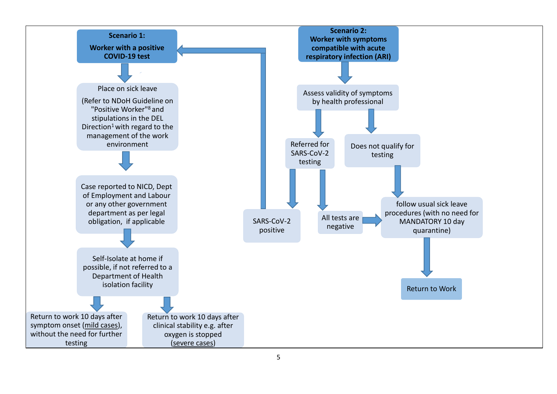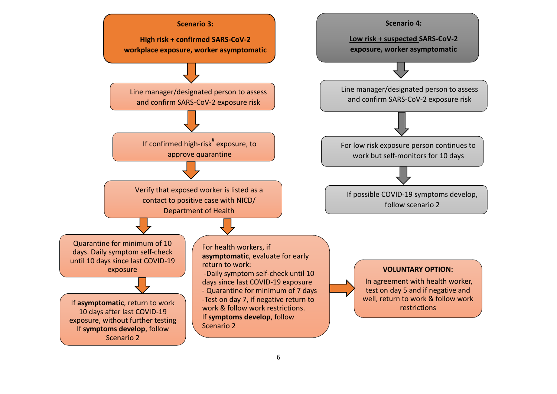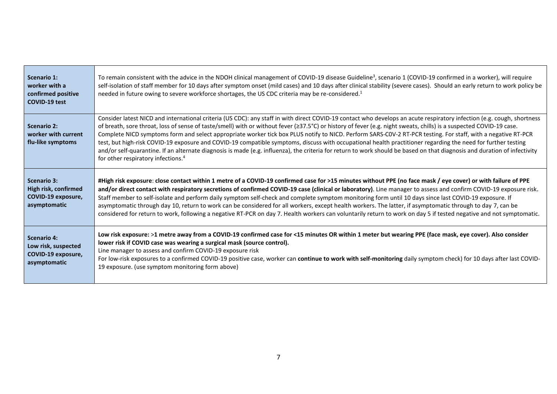| <b>Scenario 1:</b><br>worker with a<br>confirmed positive<br><b>COVID-19 test</b> | To remain consistent with the advice in the NDOH clinical management of COVID-19 disease Guideline <sup>3</sup> , scenario 1 (COVID-19 confirmed in a worker), will require<br>self-isolation of staff member for 10 days after symptom onset (mild cases) and 10 days after clinical stability (severe cases). Should an early return to work policy be<br>needed in future owing to severe workforce shortages, the US CDC criteria may be re-considered. <sup>1</sup>                                                                                                                                                                                                                                                                                                                                                                                                                                     |
|-----------------------------------------------------------------------------------|--------------------------------------------------------------------------------------------------------------------------------------------------------------------------------------------------------------------------------------------------------------------------------------------------------------------------------------------------------------------------------------------------------------------------------------------------------------------------------------------------------------------------------------------------------------------------------------------------------------------------------------------------------------------------------------------------------------------------------------------------------------------------------------------------------------------------------------------------------------------------------------------------------------|
| Scenario 2:<br>worker with current<br>flu-like symptoms                           | Consider latest NICD and international criteria (US CDC): any staff in with direct COVID-19 contact who develops an acute respiratory infection (e.g. cough, shortness<br>of breath, sore throat, loss of sense of taste/smell) with or without fever (≥37.5°C) or history of fever (e.g. night sweats, chills) is a suspected COVID-19 case.<br>Complete NICD symptoms form and select appropriate worker tick box PLUS notify to NICD. Perform SARS-COV-2 RT-PCR testing. For staff, with a negative RT-PCR<br>test, but high-risk COVID-19 exposure and COVID-19 compatible symptoms, discuss with occupational health practitioner regarding the need for further testing<br>and/or self-quarantine. If an alternate diagnosis is made (e.g. influenza), the criteria for return to work should be based on that diagnosis and duration of infectivity<br>for other respiratory infections. <sup>4</sup> |
| <b>Scenario 3:</b><br>High risk, confirmed<br>COVID-19 exposure,<br>asymptomatic  | #High risk exposure: close contact within 1 metre of a COVID-19 confirmed case for >15 minutes without PPE (no face mask / eye cover) or with failure of PPE<br>and/or direct contact with respiratory secretions of confirmed COVID-19 case (clinical or laboratory). Line manager to assess and confirm COVID-19 exposure risk.<br>Staff member to self-isolate and perform daily symptom self-check and complete symptom monitoring form until 10 days since last COVID-19 exposure. If<br>asymptomatic through day 10, return to work can be considered for all workers, except health workers. The latter, if asymptomatic through to day 7, can be<br>considered for return to work, following a negative RT-PCR on day 7. Health workers can voluntarily return to work on day 5 if tested negative and not symptomatic.                                                                              |
| <b>Scenario 4:</b><br>Low risk, suspected<br>COVID-19 exposure,<br>asymptomatic   | Low risk exposure: >1 metre away from a COVID-19 confirmed case for <15 minutes OR within 1 meter but wearing PPE (face mask, eye cover). Also consider<br>lower risk if COVID case was wearing a surgical mask (source control).<br>Line manager to assess and confirm COVID-19 exposure risk<br>For low-risk exposures to a confirmed COVID-19 positive case, worker can continue to work with self-monitoring daily symptom check) for 10 days after last COVID-<br>19 exposure. (use symptom monitoring form above)                                                                                                                                                                                                                                                                                                                                                                                      |